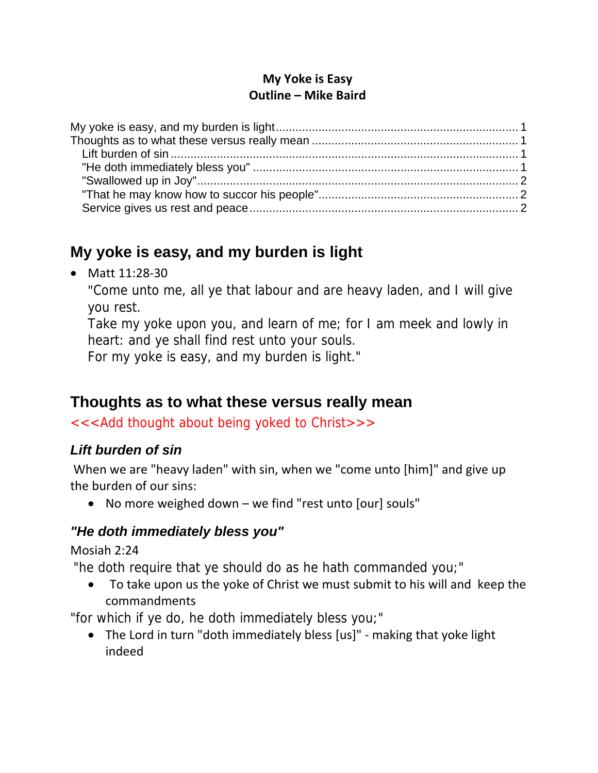#### **My Yoke is Easy Outline – Mike Baird**

# **My yoke is easy, and my burden is light**

● Matt 11:28-30

"Come unto me, all ye that labour and are heavy laden, and I will give you rest.

Take my yoke upon you, and learn of me; for I am meek and lowly in heart: and ye shall find rest unto your souls.

For my yoke is easy, and my burden is light."

# **Thoughts as to what these versus really mean**

<<<Add thought about being yoked to Christ>>>

### *Lift burden of sin*

When we are "heavy laden" with sin, when we "come unto [him]" and give up the burden of our sins:

• No more weighed down – we find "rest unto [our] souls"

### *"He doth immediately bless you"*

Mosiah 2:24

"he doth require that ye should do as he hath commanded you;"

 To take upon us the yoke of Christ we must submit to his will and keep the commandments

"for which if ye do, he doth immediately bless you;"

 The Lord in turn "doth immediately bless [us]" ‐ making that yoke light indeed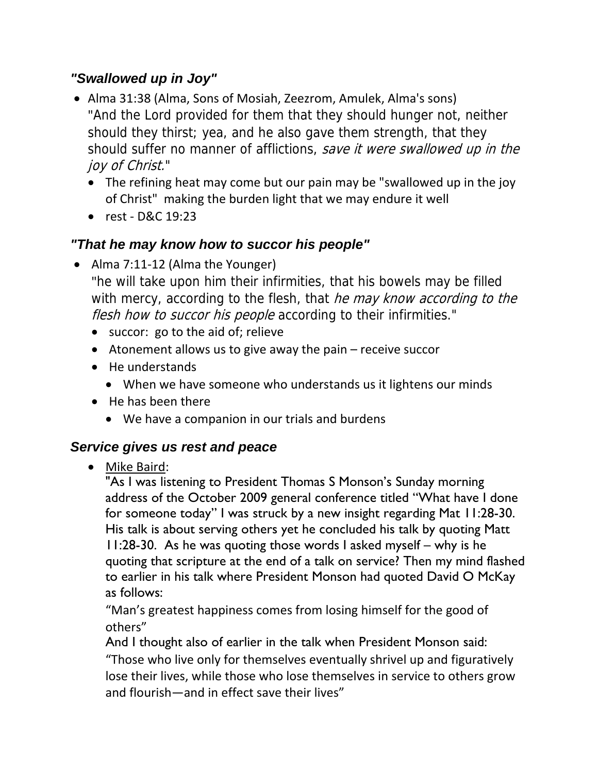#### *"Swallowed up in Joy"*

- Alma 31:38 (Alma, Sons of Mosiah, Zeezrom, Amulek, Alma's sons) "And the Lord provided for them that they should hunger not, neither should they thirst; yea, and he also gave them strength, that they should suffer no manner of afflictions, save it were swallowed up in the joy of Christ."
	- The refining heat may come but our pain may be "swallowed up in the joy of Christ" making the burden light that we may endure it well
	- rest D&C 19:23

### *"That he may know how to succor his people"*

● Alma 7:11-12 (Alma the Younger)

"he will take upon him their infirmities, that his bowels may be filled with mercy, according to the flesh, that he may know according to the flesh how to succor his people according to their infirmities."

- succor: go to the aid of; relieve
- Atonement allows us to give away the pain receive succor
- He understands
	- When we have someone who understands us it lightens our minds
- He has been there
	- We have a companion in our trials and burdens

### *Service gives us rest and peace*

Mike Baird:

"As I was listening to President Thomas S Monson's Sunday morning address of the October 2009 general conference titled "What have I done for someone today" I was struck by a new insight regarding Mat 11:28-30. His talk is about serving others yet he concluded his talk by quoting Matt 11:28-30. As he was quoting those words I asked myself – why is he quoting that scripture at the end of a talk on service? Then my mind flashed to earlier in his talk where President Monson had quoted David O McKay as follows:

"Man's greatest happiness comes from losing himself for the good of others"

And I thought also of earlier in the talk when President Monson said: "Those who live only for themselves eventually shrivel up and figuratively lose their lives, while those who lose themselves in service to others grow and flourish—and in effect save their lives"